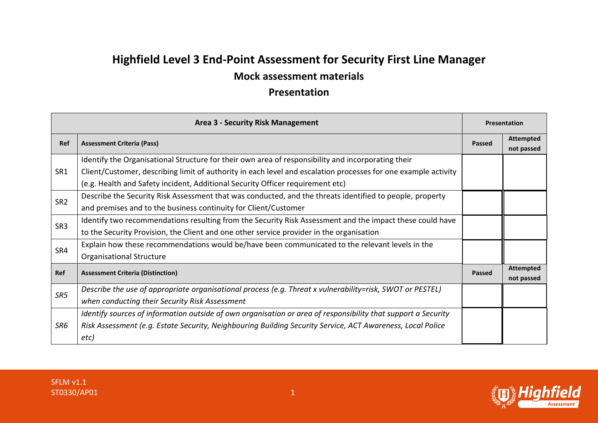## **Highfield Level 3 End-Point Assessment for Security First Line Manager**

## **Mock assessment materials**

## **Presentation**

| <b>Area 3 - Security Risk Management</b> |                                                                                                                | <b>Presentation</b> |                                |
|------------------------------------------|----------------------------------------------------------------------------------------------------------------|---------------------|--------------------------------|
| Ref                                      | <b>Assessment Criteria (Pass)</b>                                                                              | <b>Passed</b>       | <b>Attempted</b><br>not passed |
| SR1                                      | Identify the Organisational Structure for their own area of responsibility and incorporating their             |                     |                                |
|                                          | Client/Customer, describing limit of authority in each level and escalation processes for one example activity |                     |                                |
|                                          | (e.g. Health and Safety incident, Additional Security Officer requirement etc)                                 |                     |                                |
| SR <sub>2</sub>                          | Describe the Security Risk Assessment that was conducted, and the threats identified to people, property       |                     |                                |
|                                          | and premises and to the business continuity for Client/Customer                                                |                     |                                |
|                                          | Identify two recommendations resulting from the Security Risk Assessment and the impact these could have       |                     |                                |
| SR <sub>3</sub>                          | to the Security Provision, the Client and one other service provider in the organisation                       |                     |                                |
| SR4                                      | Explain how these recommendations would be/have been communicated to the relevant levels in the                |                     |                                |
|                                          | Organisational Structure                                                                                       |                     |                                |
| Ref                                      | <b>Assessment Criteria (Distinction)</b>                                                                       | <b>Passed</b>       | <b>Attempted</b><br>not passed |
| SR5                                      | Describe the use of appropriate organisational process (e.g. Threat x vulnerability=risk, SWOT or PESTEL)      |                     |                                |
|                                          | when conducting their Security Risk Assessment                                                                 |                     |                                |
| SR6                                      | Identify sources of information outside of own organisation or area of responsibility that support a Security  |                     |                                |
|                                          | Risk Assessment (e.g. Estate Security, Neighbouring Building Security Service, ACT Awareness, Local Police     |                     |                                |
|                                          | etc)                                                                                                           |                     |                                |

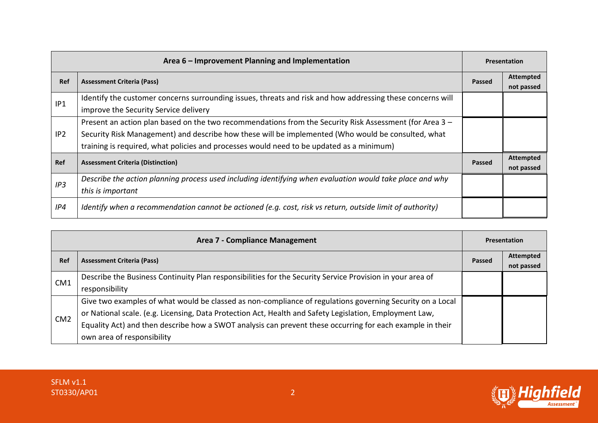| Area 6 – Improvement Planning and Implementation |                                                                                                                                                                                                                                                                                                           | <b>Presentation</b> |                                |
|--------------------------------------------------|-----------------------------------------------------------------------------------------------------------------------------------------------------------------------------------------------------------------------------------------------------------------------------------------------------------|---------------------|--------------------------------|
| Ref                                              | <b>Assessment Criteria (Pass)</b>                                                                                                                                                                                                                                                                         | Passed              | <b>Attempted</b><br>not passed |
| IP1                                              | Identify the customer concerns surrounding issues, threats and risk and how addressing these concerns will<br>improve the Security Service delivery                                                                                                                                                       |                     |                                |
| IP <sub>2</sub>                                  | Present an action plan based on the two recommendations from the Security Risk Assessment (for Area 3 -<br>Security Risk Management) and describe how these will be implemented (Who would be consulted, what<br>training is required, what policies and processes would need to be updated as a minimum) |                     |                                |
| <b>Ref</b>                                       | <b>Assessment Criteria (Distinction)</b>                                                                                                                                                                                                                                                                  | Passed              | <b>Attempted</b><br>not passed |
| IP3                                              | Describe the action planning process used including identifying when evaluation would take place and why<br>this is important                                                                                                                                                                             |                     |                                |
| IP4                                              | Identify when a recommendation cannot be actioned (e.g. cost, risk vs return, outside limit of authority)                                                                                                                                                                                                 |                     |                                |

| Area 7 - Compliance Management |                                                                                                           | <b>Presentation</b> |                  |
|--------------------------------|-----------------------------------------------------------------------------------------------------------|---------------------|------------------|
| <b>Ref</b>                     | <b>Assessment Criteria (Pass)</b>                                                                         | Passed              | <b>Attempted</b> |
|                                |                                                                                                           |                     | not passed       |
| CM <sub>1</sub>                | Describe the Business Continuity Plan responsibilities for the Security Service Provision in your area of |                     |                  |
|                                | responsibility                                                                                            |                     |                  |
| CM <sub>2</sub>                | Give two examples of what would be classed as non-compliance of regulations governing Security on a Local |                     |                  |
|                                | or National scale. (e.g. Licensing, Data Protection Act, Health and Safety Legislation, Employment Law,   |                     |                  |
|                                | Equality Act) and then describe how a SWOT analysis can prevent these occurring for each example in their |                     |                  |
|                                | own area of responsibility                                                                                |                     |                  |